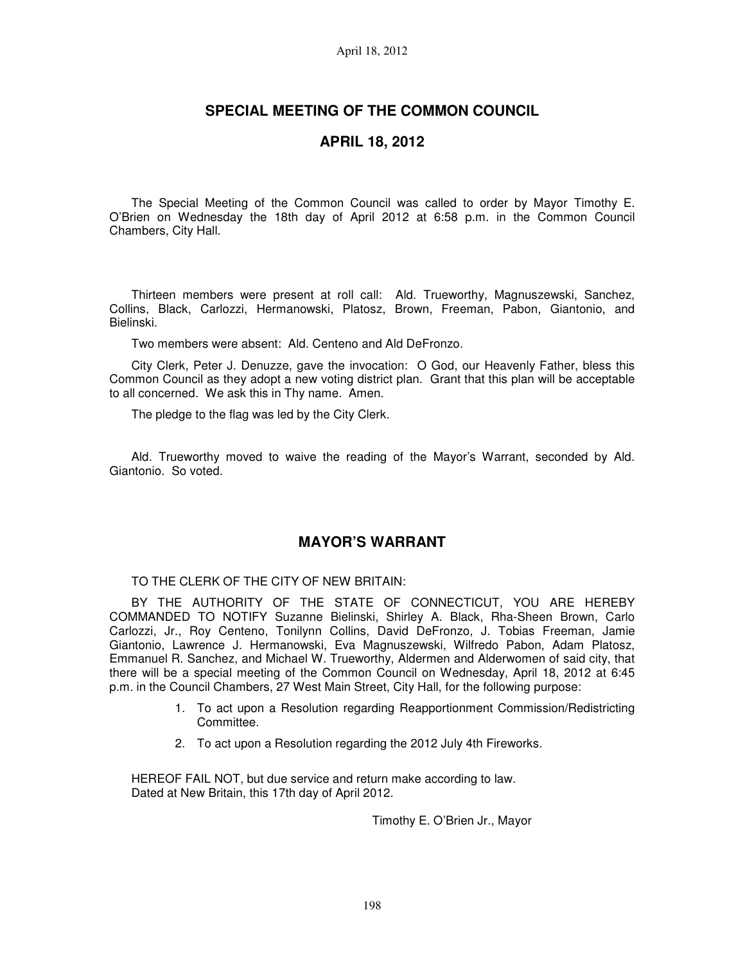# **SPECIAL MEETING OF THE COMMON COUNCIL**

## **APRIL 18, 2012**

The Special Meeting of the Common Council was called to order by Mayor Timothy E. O'Brien on Wednesday the 18th day of April 2012 at 6:58 p.m. in the Common Council Chambers, City Hall.

Thirteen members were present at roll call: Ald. Trueworthy, Magnuszewski, Sanchez, Collins, Black, Carlozzi, Hermanowski, Platosz, Brown, Freeman, Pabon, Giantonio, and Bielinski.

Two members were absent: Ald. Centeno and Ald DeFronzo.

City Clerk, Peter J. Denuzze, gave the invocation: O God, our Heavenly Father, bless this Common Council as they adopt a new voting district plan. Grant that this plan will be acceptable to all concerned. We ask this in Thy name. Amen.

The pledge to the flag was led by the City Clerk.

Ald. Trueworthy moved to waive the reading of the Mayor's Warrant, seconded by Ald. Giantonio. So voted.

# **MAYOR'S WARRANT**

TO THE CLERK OF THE CITY OF NEW BRITAIN:

BY THE AUTHORITY OF THE STATE OF CONNECTICUT, YOU ARE HEREBY COMMANDED TO NOTIFY Suzanne Bielinski, Shirley A. Black, Rha-Sheen Brown, Carlo Carlozzi, Jr., Roy Centeno, Tonilynn Collins, David DeFronzo, J. Tobias Freeman, Jamie Giantonio, Lawrence J. Hermanowski, Eva Magnuszewski, Wilfredo Pabon, Adam Platosz, Emmanuel R. Sanchez, and Michael W. Trueworthy, Aldermen and Alderwomen of said city, that there will be a special meeting of the Common Council on Wednesday, April 18, 2012 at 6:45 p.m. in the Council Chambers, 27 West Main Street, City Hall, for the following purpose:

- 1. To act upon a Resolution regarding Reapportionment Commission/Redistricting Committee.
- 2. To act upon a Resolution regarding the 2012 July 4th Fireworks.

HEREOF FAIL NOT, but due service and return make according to law. Dated at New Britain, this 17th day of April 2012.

Timothy E. O'Brien Jr., Mayor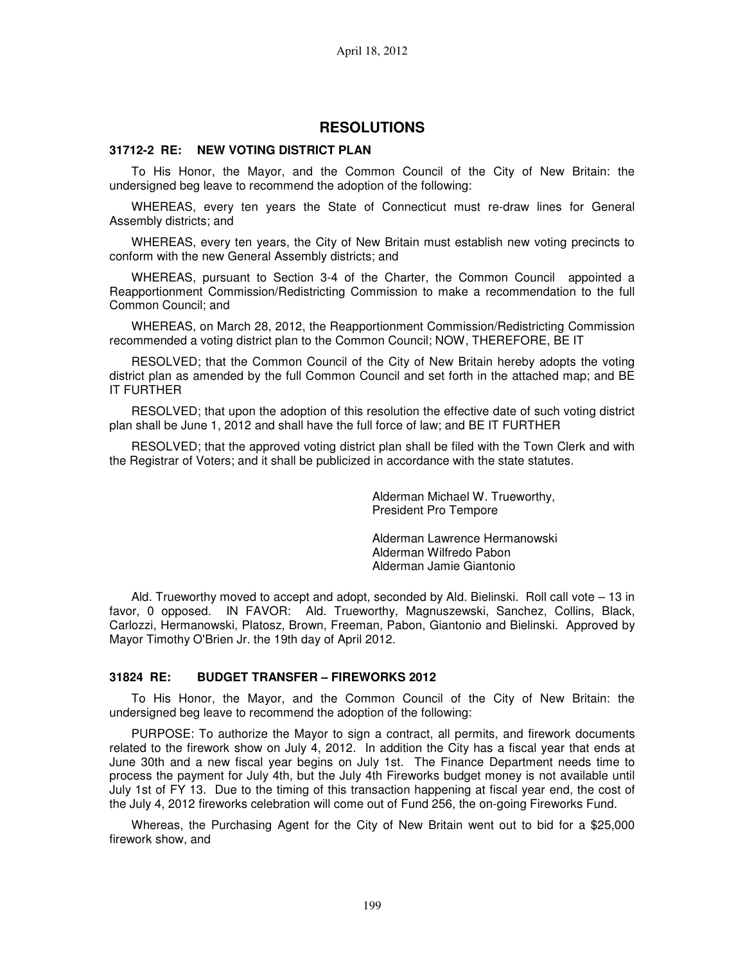### **RESOLUTIONS**

### **31712-2 RE: NEW VOTING DISTRICT PLAN**

To His Honor, the Mayor, and the Common Council of the City of New Britain: the undersigned beg leave to recommend the adoption of the following:

WHEREAS, every ten years the State of Connecticut must re-draw lines for General Assembly districts; and

WHEREAS, every ten years, the City of New Britain must establish new voting precincts to conform with the new General Assembly districts; and

WHEREAS, pursuant to Section 3-4 of the Charter, the Common Council appointed a Reapportionment Commission/Redistricting Commission to make a recommendation to the full Common Council; and

WHEREAS, on March 28, 2012, the Reapportionment Commission/Redistricting Commission recommended a voting district plan to the Common Council; NOW, THEREFORE, BE IT

RESOLVED; that the Common Council of the City of New Britain hereby adopts the voting district plan as amended by the full Common Council and set forth in the attached map; and BE IT FURTHER

RESOLVED; that upon the adoption of this resolution the effective date of such voting district plan shall be June 1, 2012 and shall have the full force of law; and BE IT FURTHER

RESOLVED; that the approved voting district plan shall be filed with the Town Clerk and with the Registrar of Voters; and it shall be publicized in accordance with the state statutes.

> Alderman Michael W. Trueworthy, President Pro Tempore

> Alderman Lawrence Hermanowski Alderman Wilfredo Pabon Alderman Jamie Giantonio

Ald. Trueworthy moved to accept and adopt, seconded by Ald. Bielinski. Roll call vote – 13 in favor, 0 opposed. IN FAVOR: Ald. Trueworthy, Magnuszewski, Sanchez, Collins, Black, Carlozzi, Hermanowski, Platosz, Brown, Freeman, Pabon, Giantonio and Bielinski. Approved by Mayor Timothy O'Brien Jr. the 19th day of April 2012.

### **31824 RE: BUDGET TRANSFER – FIREWORKS 2012**

To His Honor, the Mayor, and the Common Council of the City of New Britain: the undersigned beg leave to recommend the adoption of the following:

PURPOSE: To authorize the Mayor to sign a contract, all permits, and firework documents related to the firework show on July 4, 2012. In addition the City has a fiscal year that ends at June 30th and a new fiscal year begins on July 1st. The Finance Department needs time to process the payment for July 4th, but the July 4th Fireworks budget money is not available until July 1st of FY 13. Due to the timing of this transaction happening at fiscal year end, the cost of the July 4, 2012 fireworks celebration will come out of Fund 256, the on-going Fireworks Fund.

Whereas, the Purchasing Agent for the City of New Britain went out to bid for a \$25,000 firework show, and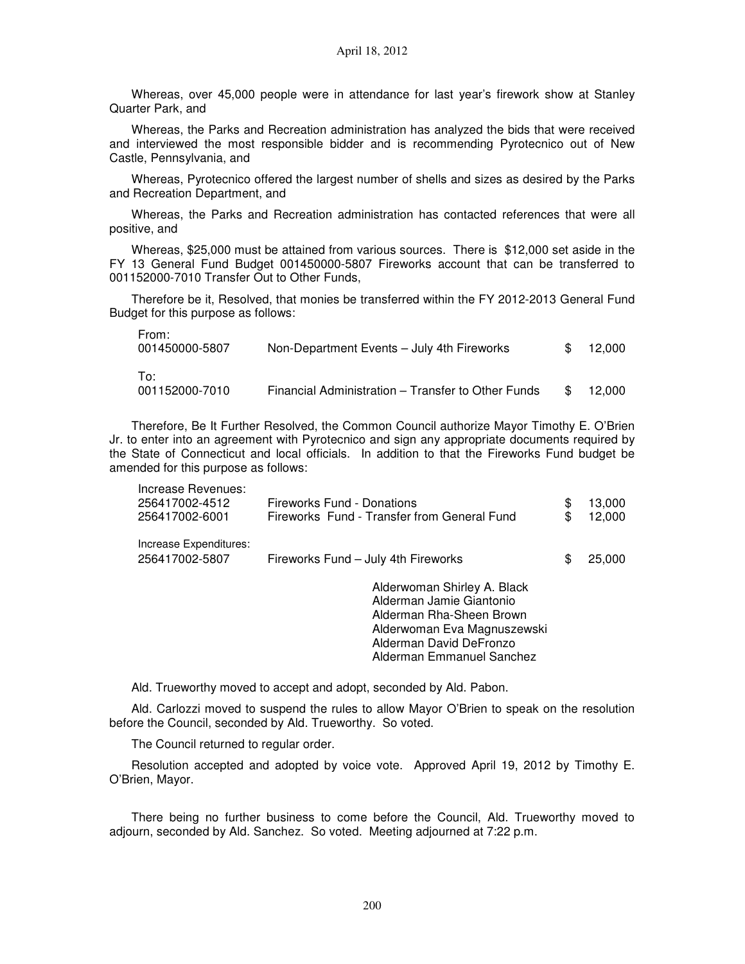Whereas, over 45,000 people were in attendance for last year's firework show at Stanley Quarter Park, and

Whereas, the Parks and Recreation administration has analyzed the bids that were received and interviewed the most responsible bidder and is recommending Pyrotecnico out of New Castle, Pennsylvania, and

Whereas, Pyrotecnico offered the largest number of shells and sizes as desired by the Parks and Recreation Department, and

Whereas, the Parks and Recreation administration has contacted references that were all positive, and

Whereas, \$25,000 must be attained from various sources. There is \$12,000 set aside in the FY 13 General Fund Budget 001450000-5807 Fireworks account that can be transferred to 001152000-7010 Transfer Out to Other Funds,

Therefore be it, Resolved, that monies be transferred within the FY 2012-2013 General Fund Budget for this purpose as follows:

| From:<br>001450000-5807 | Non-Department Events - July 4th Fireworks         | SS. | 12.000 |
|-------------------------|----------------------------------------------------|-----|--------|
| To:<br>001152000-7010   | Financial Administration - Transfer to Other Funds |     | 12.000 |

Therefore, Be It Further Resolved, the Common Council authorize Mayor Timothy E. O'Brien Jr. to enter into an agreement with Pyrotecnico and sign any appropriate documents required by the State of Connecticut and local officials. In addition to that the Fireworks Fund budget be amended for this purpose as follows:

| Increase Revenues:<br>256417002-4512<br>256417002-6001 | Fireworks Fund - Donations<br>Fireworks Fund - Transfer from General Fund                                                                     | \$<br>\$ | 13,000<br>12,000 |
|--------------------------------------------------------|-----------------------------------------------------------------------------------------------------------------------------------------------|----------|------------------|
| Increase Expenditures:<br>256417002-5807               | Fireworks Fund - July 4th Fireworks                                                                                                           | S        | 25,000           |
|                                                        | Alderwoman Shirley A. Black<br>Alderman Jamie Giantonio<br>Alderman Rha-Sheen Brown<br>Alderwoman Eva Magnuszewski<br>Alderman David DeFronzo |          |                  |

Alderman Emmanuel Sanchez

Ald. Trueworthy moved to accept and adopt, seconded by Ald. Pabon.

Ald. Carlozzi moved to suspend the rules to allow Mayor O'Brien to speak on the resolution before the Council, seconded by Ald. Trueworthy. So voted.

The Council returned to regular order.

Resolution accepted and adopted by voice vote. Approved April 19, 2012 by Timothy E. O'Brien, Mayor.

There being no further business to come before the Council, Ald. Trueworthy moved to adjourn, seconded by Ald. Sanchez. So voted. Meeting adjourned at 7:22 p.m.